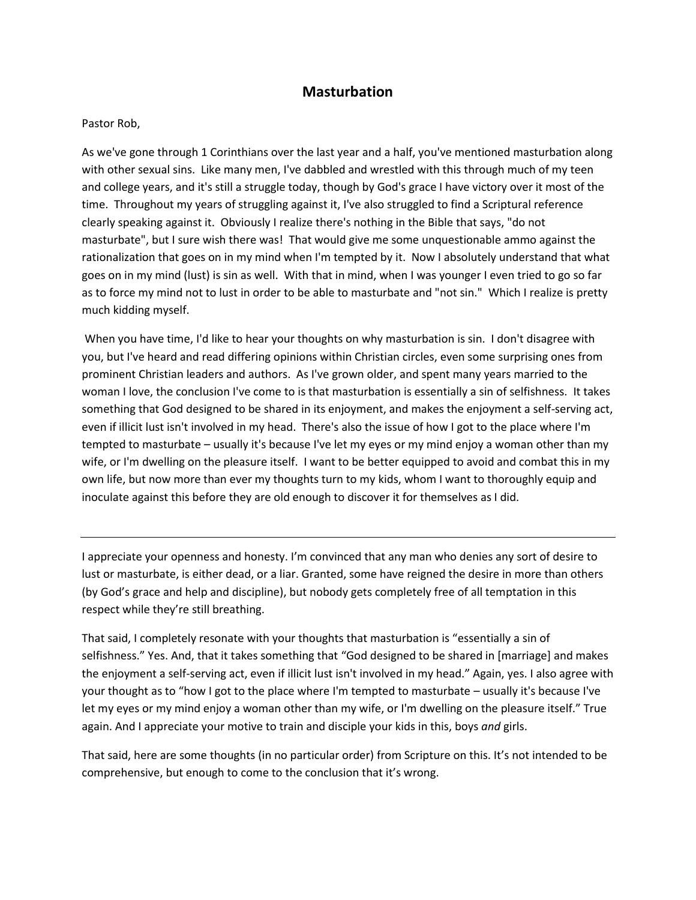## **Masturbation**

## Pastor Rob,

As we've gone through 1 Corinthians over the last year and a half, you've mentioned masturbation along with other sexual sins. Like many men, I've dabbled and wrestled with this through much of my teen and college years, and it's still a struggle today, though by God's grace I have victory over it most of the time. Throughout my years of struggling against it, I've also struggled to find a Scriptural reference clearly speaking against it. Obviously I realize there's nothing in the Bible that says, "do not masturbate", but I sure wish there was! That would give me some unquestionable ammo against the rationalization that goes on in my mind when I'm tempted by it. Now I absolutely understand that what goes on in my mind (lust) is sin as well. With that in mind, when I was younger I even tried to go so far as to force my mind not to lust in order to be able to masturbate and "not sin." Which I realize is pretty much kidding myself.

When you have time, I'd like to hear your thoughts on why masturbation is sin. I don't disagree with you, but I've heard and read differing opinions within Christian circles, even some surprising ones from prominent Christian leaders and authors. As I've grown older, and spent many years married to the woman I love, the conclusion I've come to is that masturbation is essentially a sin of selfishness. It takes something that God designed to be shared in its enjoyment, and makes the enjoyment a self-serving act, even if illicit lust isn't involved in my head. There's also the issue of how I got to the place where I'm tempted to masturbate – usually it's because I've let my eyes or my mind enjoy a woman other than my wife, or I'm dwelling on the pleasure itself. I want to be better equipped to avoid and combat this in my own life, but now more than ever my thoughts turn to my kids, whom I want to thoroughly equip and inoculate against this before they are old enough to discover it for themselves as I did.

I appreciate your openness and honesty. I'm convinced that any man who denies any sort of desire to lust or masturbate, is either dead, or a liar. Granted, some have reigned the desire in more than others (by God's grace and help and discipline), but nobody gets completely free of all temptation in this respect while they're still breathing.

That said, I completely resonate with your thoughts that masturbation is "essentially a sin of selfishness." Yes. And, that it takes something that "God designed to be shared in [marriage] and makes the enjoyment a self-serving act, even if illicit lust isn't involved in my head." Again, yes. I also agree with your thought as to "how I got to the place where I'm tempted to masturbate – usually it's because I've let my eyes or my mind enjoy a woman other than my wife, or I'm dwelling on the pleasure itself." True again. And I appreciate your motive to train and disciple your kids in this, boys *and* girls.

That said, here are some thoughts (in no particular order) from Scripture on this. It's not intended to be comprehensive, but enough to come to the conclusion that it's wrong.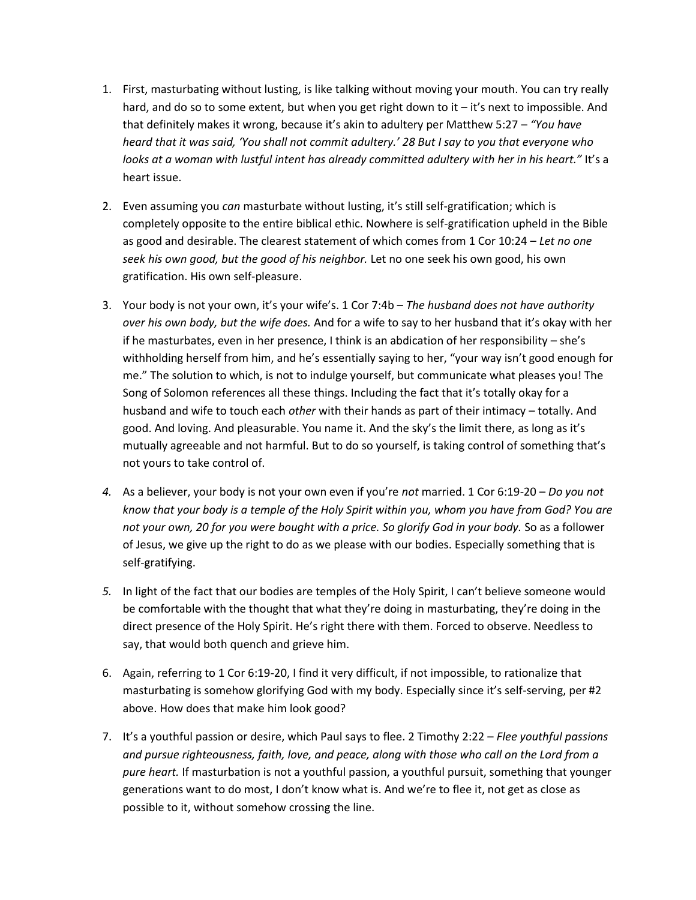- 1. First, masturbating without lusting, is like talking without moving your mouth. You can try really hard, and do so to some extent, but when you get right down to it – it's next to impossible. And that definitely makes it wrong, because it's akin to adultery per Matthew 5:27 – *"You have heard that it was said, 'You shall not commit adultery.' 28 But I say to you that everyone who looks at a woman with lustful intent has already committed adultery with her in his heart."* It's a heart issue.
- 2. Even assuming you *can* masturbate without lusting, it's still self-gratification; which is completely opposite to the entire biblical ethic. Nowhere is self-gratification upheld in the Bible as good and desirable. The clearest statement of which comes from 1 Cor 10:24 – *Let no one seek his own good, but the good of his neighbor.* Let no one seek his own good, his own gratification. His own self-pleasure.
- 3. Your body is not your own, it's your wife's. 1 Cor 7:4b *The husband does not have authority over his own body, but the wife does.* And for a wife to say to her husband that it's okay with her if he masturbates, even in her presence, I think is an abdication of her responsibility – she's withholding herself from him, and he's essentially saying to her, "your way isn't good enough for me." The solution to which, is not to indulge yourself, but communicate what pleases you! The Song of Solomon references all these things. Including the fact that it's totally okay for a husband and wife to touch each *other* with their hands as part of their intimacy – totally. And good. And loving. And pleasurable. You name it. And the sky's the limit there, as long as it's mutually agreeable and not harmful. But to do so yourself, is taking control of something that's not yours to take control of.
- *4.* As a believer, your body is not your own even if you're *not* married. 1 Cor 6:19-20 *Do you not know that your body is a temple of the Holy Spirit within you, whom you have from God? You are not your own, 20 for you were bought with a price. So glorify God in your body.* So as a follower of Jesus, we give up the right to do as we please with our bodies. Especially something that is self-gratifying.
- *5.* In light of the fact that our bodies are temples of the Holy Spirit, I can't believe someone would be comfortable with the thought that what they're doing in masturbating, they're doing in the direct presence of the Holy Spirit. He's right there with them. Forced to observe. Needless to say, that would both quench and grieve him.
- 6. Again, referring to 1 Cor 6:19-20, I find it very difficult, if not impossible, to rationalize that masturbating is somehow glorifying God with my body. Especially since it's self-serving, per #2 above. How does that make him look good?
- 7. It's a youthful passion or desire, which Paul says to flee. 2 Timothy 2:22 *Flee youthful passions and pursue righteousness, faith, love, and peace, along with those who call on the Lord from a pure heart.* If masturbation is not a youthful passion, a youthful pursuit, something that younger generations want to do most, I don't know what is. And we're to flee it, not get as close as possible to it, without somehow crossing the line.